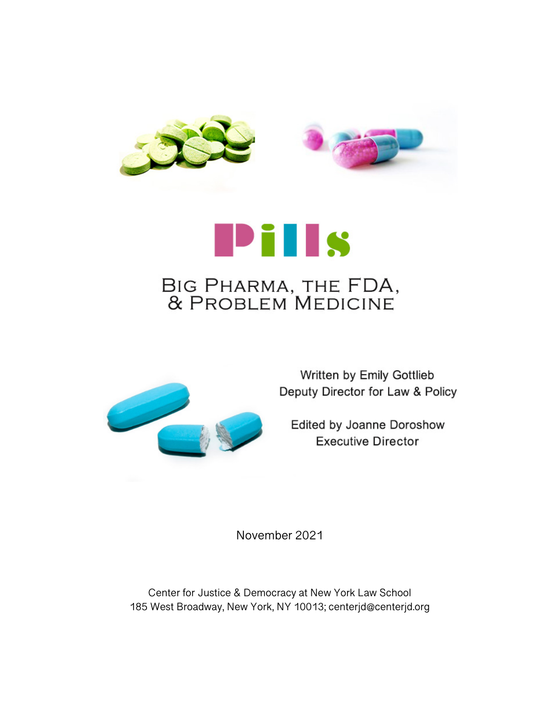



# Pills BIG PHARMA, THE FDA, & PROBLEM MEDICINE



Written by Emily Gottlieb Deputy Director for Law & Policy

Edited by Joanne Doroshow **Executive Director** 

November 2021

Center for Justice & Democracy at New York Law School 185 West Broadway, New York, NY 10013; centerjd@centerjd.org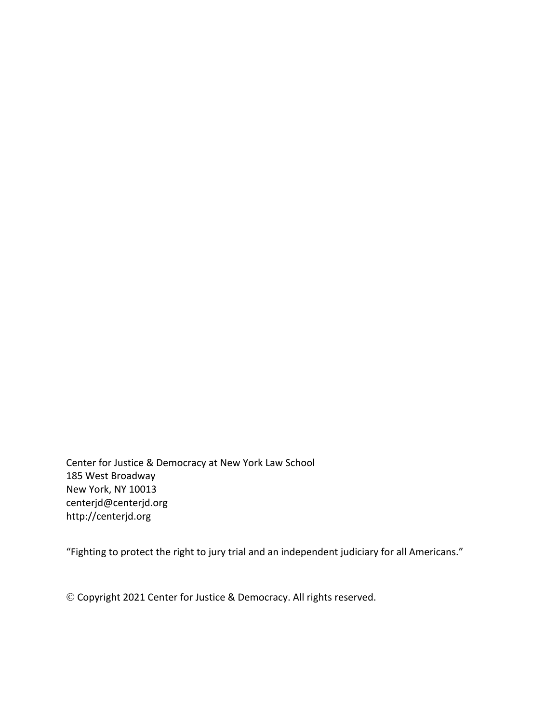Center for Justice & Democracy at New York Law School 185 West Broadway New York, NY 10013 centerjd@centerjd.org http://centerjd.org

"Fighting to protect the right to jury trial and an independent judiciary for all Americans."

© Copyright 2021 Center for Justice & Democracy. All rights reserved.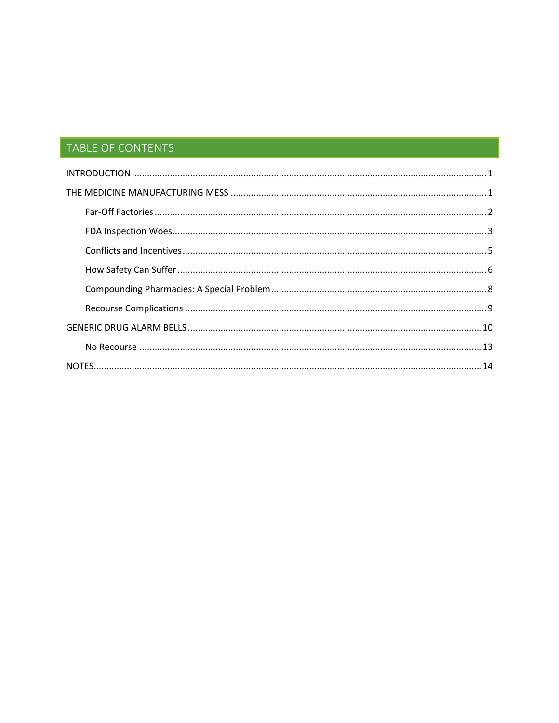# TABLE OF CONTENTS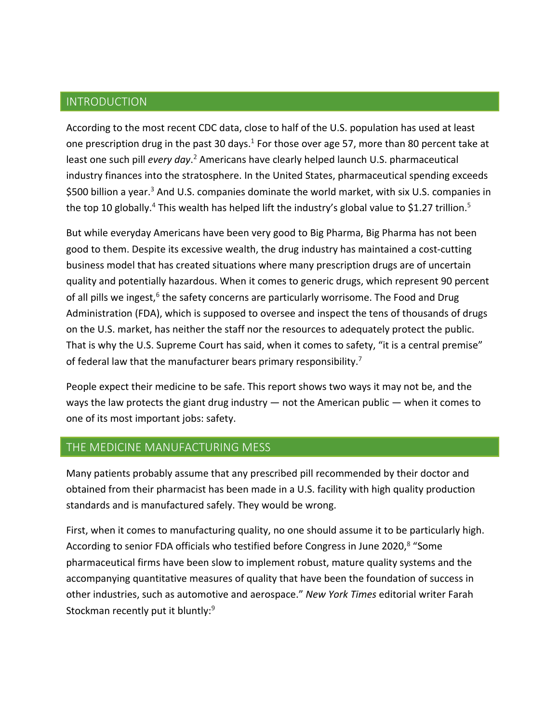# INTRODUCTION

According to the most recent CDC data, close to half of the U.S. population has used at least one prescription drug in the past 30 days.<sup>1</sup> For those over age 57, more than 80 percent take at least one such pill *every day*.<sup>2</sup> Americans have clearly helped launch U.S. pharmaceutical industry finances into the stratosphere. In the United States, pharmaceutical spending exceeds \$500 billion a year.<sup>3</sup> And U.S. companies dominate the world market, with six U.S. companies in the top 10 globally.<sup>4</sup> This wealth has helped lift the industry's global value to \$1.27 trillion.<sup>5</sup>

But while everyday Americans have been very good to Big Pharma, Big Pharma has not been good to them. Despite its excessive wealth, the drug industry has maintained a cost-cutting business model that has created situations where many prescription drugs are of uncertain quality and potentially hazardous. When it comes to generic drugs, which represent 90 percent of all pills we ingest, $6$  the safety concerns are particularly worrisome. The Food and Drug Administration (FDA), which is supposed to oversee and inspect the tens of thousands of drugs on the U.S. market, has neither the staff nor the resources to adequately protect the public. That is why the U.S. Supreme Court has said, when it comes to safety, "it is a central premise" of federal law that the manufacturer bears primary responsibility.<sup>7</sup>

People expect their medicine to be safe. This report shows two ways it may not be, and the ways the law protects the giant drug industry  $-$  not the American public  $-$  when it comes to one of its most important jobs: safety.

#### THE MEDICINE MANUFACTURING MESS

Many patients probably assume that any prescribed pill recommended by their doctor and obtained from their pharmacist has been made in a U.S. facility with high quality production standards and is manufactured safely. They would be wrong.

First, when it comes to manufacturing quality, no one should assume it to be particularly high. According to senior FDA officials who testified before Congress in June 2020,<sup>8</sup> "Some pharmaceutical firms have been slow to implement robust, mature quality systems and the accompanying quantitative measures of quality that have been the foundation of success in other industries, such as automotive and aerospace." *New York Times* editorial writer Farah Stockman recently put it bluntly:<sup>9</sup>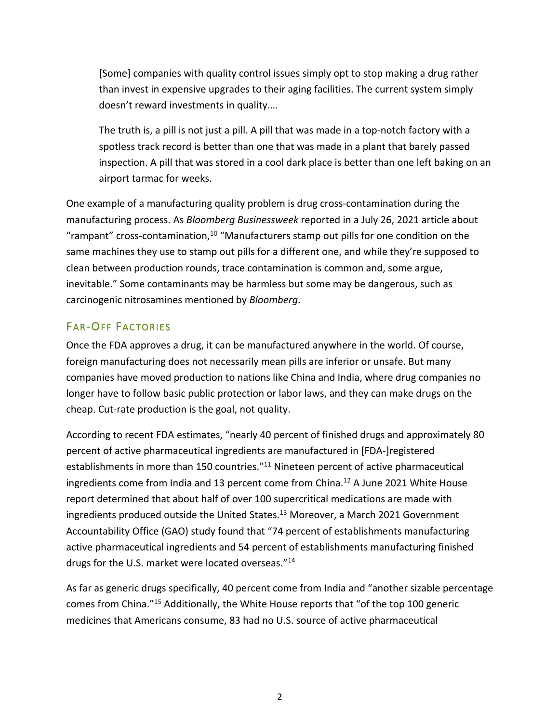[Some] companies with quality control issues simply opt to stop making a drug rather than invest in expensive upgrades to their aging facilities. The current system simply doesn't reward investments in quality.…

The truth is, a pill is not just a pill. A pill that was made in a top-notch factory with a spotless track record is better than one that was made in a plant that barely passed inspection. A pill that was stored in a cool dark place is better than one left baking on an airport tarmac for weeks.

One example of a manufacturing quality problem is drug cross-contamination during the manufacturing process. As *Bloomberg Businessweek* reported in a July 26, 2021 article about "rampant" cross-contamination, $10$  "Manufacturers stamp out pills for one condition on the same machines they use to stamp out pills for a different one, and while they're supposed to clean between production rounds, trace contamination is common and, some argue, inevitable." Some contaminants may be harmless but some may be dangerous, such as carcinogenic nitrosamines mentioned by *Bloomberg*.

# FAR-OFF FACTORIES

Once the FDA approves a drug, it can be manufactured anywhere in the world. Of course, foreign manufacturing does not necessarily mean pills are inferior or unsafe. But many companies have moved production to nations like China and India, where drug companies no longer have to follow basic public protection or labor laws, and they can make drugs on the cheap. Cut-rate production is the goal, not quality.

According to recent FDA estimates, "nearly 40 percent of finished drugs and approximately 80 percent of active pharmaceutical ingredients are manufactured in [FDA-]registered establishments in more than 150 countries."<sup>11</sup> Nineteen percent of active pharmaceutical ingredients come from India and 13 percent come from China.<sup>12</sup> A June 2021 White House report determined that about half of over 100 supercritical medications are made with ingredients produced outside the United States.<sup>13</sup> Moreover, a March 2021 Government Accountability Office (GAO) study found that "74 percent of establishments manufacturing active pharmaceutical ingredients and 54 percent of establishments manufacturing finished drugs for the U.S. market were located overseas."14

As far as generic drugs specifically, 40 percent come from India and "another sizable percentage comes from China."15 Additionally, the White House reports that "of the top 100 generic medicines that Americans consume, 83 had no U.S. source of active pharmaceutical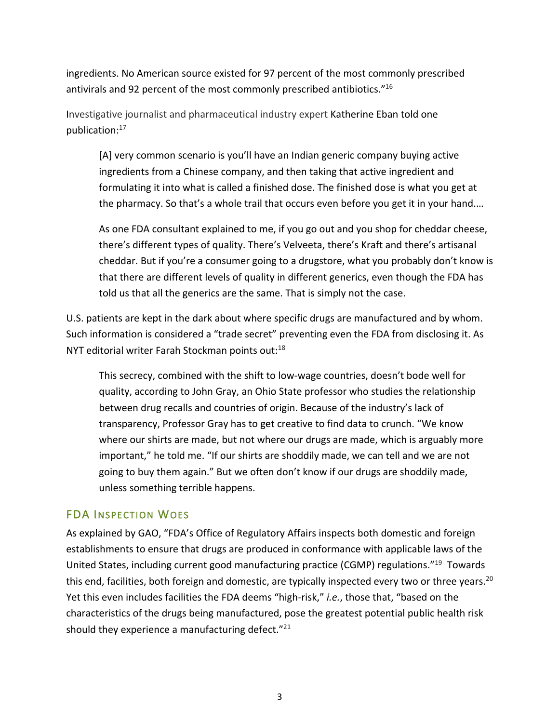ingredients. No American source existed for 97 percent of the most commonly prescribed antivirals and 92 percent of the most commonly prescribed antibiotics."16

Investigative journalist and pharmaceutical industry expert Katherine Eban told one publication:17

[A] very common scenario is you'll have an Indian generic company buying active ingredients from a Chinese company, and then taking that active ingredient and formulating it into what is called a finished dose. The finished dose is what you get at the pharmacy. So that's a whole trail that occurs even before you get it in your hand.…

As one FDA consultant explained to me, if you go out and you shop for cheddar cheese, there's different types of quality. There's Velveeta, there's Kraft and there's artisanal cheddar. But if you're a consumer going to a drugstore, what you probably don't know is that there are different levels of quality in different generics, even though the FDA has told us that all the generics are the same. That is simply not the case.

U.S. patients are kept in the dark about where specific drugs are manufactured and by whom. Such information is considered a "trade secret" preventing even the FDA from disclosing it. As NYT editorial writer Farah Stockman points out:<sup>18</sup>

This secrecy, combined with the shift to low-wage countries, doesn't bode well for quality, according to John Gray, an Ohio State professor who studies the relationship between drug recalls and countries of origin. Because of the industry's lack of transparency, Professor Gray has to get creative to find data to crunch. "We know where our shirts are made, but not where our drugs are made, which is arguably more important," he told me. "If our shirts are shoddily made, we can tell and we are not going to buy them again." But we often don't know if our drugs are shoddily made, unless something terrible happens.

## FDA INSPECTION WOES

As explained by GAO, "FDA's Office of Regulatory Affairs inspects both domestic and foreign establishments to ensure that drugs are produced in conformance with applicable laws of the United States, including current good manufacturing practice (CGMP) regulations."19 Towards this end, facilities, both foreign and domestic, are typically inspected every two or three years.<sup>20</sup> Yet this even includes facilities the FDA deems "high-risk," *i.e.*, those that, "based on the characteristics of the drugs being manufactured, pose the greatest potential public health risk should they experience a manufacturing defect. $"^{21}$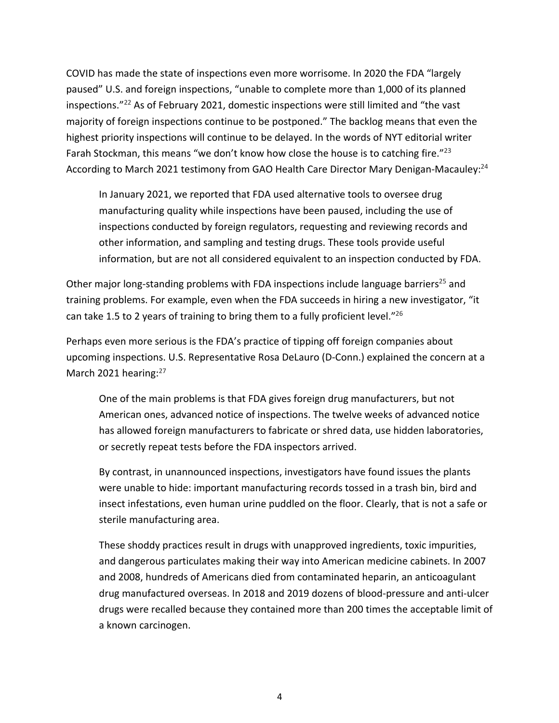COVID has made the state of inspections even more worrisome. In 2020 the FDA "largely paused" U.S. and foreign inspections, "unable to complete more than 1,000 of its planned inspections."22 As of February 2021, domestic inspections were still limited and "the vast majority of foreign inspections continue to be postponed." The backlog means that even the highest priority inspections will continue to be delayed. In the words of NYT editorial writer Farah Stockman, this means "we don't know how close the house is to catching fire."<sup>23</sup> According to March 2021 testimony from GAO Health Care Director Mary Denigan-Macauley:<sup>24</sup>

In January 2021, we reported that FDA used alternative tools to oversee drug manufacturing quality while inspections have been paused, including the use of inspections conducted by foreign regulators, requesting and reviewing records and other information, and sampling and testing drugs. These tools provide useful information, but are not all considered equivalent to an inspection conducted by FDA.

Other major long-standing problems with FDA inspections include language barriers<sup>25</sup> and training problems. For example, even when the FDA succeeds in hiring a new investigator, "it can take 1.5 to 2 years of training to bring them to a fully proficient level."<sup>26</sup>

Perhaps even more serious is the FDA's practice of tipping off foreign companies about upcoming inspections. U.S. Representative Rosa DeLauro (D-Conn.) explained the concern at a March 2021 hearing:<sup>27</sup>

One of the main problems is that FDA gives foreign drug manufacturers, but not American ones, advanced notice of inspections. The twelve weeks of advanced notice has allowed foreign manufacturers to fabricate or shred data, use hidden laboratories, or secretly repeat tests before the FDA inspectors arrived.

By contrast, in unannounced inspections, investigators have found issues the plants were unable to hide: important manufacturing records tossed in a trash bin, bird and insect infestations, even human urine puddled on the floor. Clearly, that is not a safe or sterile manufacturing area.

These shoddy practices result in drugs with unapproved ingredients, toxic impurities, and dangerous particulates making their way into American medicine cabinets. In 2007 and 2008, hundreds of Americans died from contaminated heparin, an anticoagulant drug manufactured overseas. In 2018 and 2019 dozens of blood-pressure and anti-ulcer drugs were recalled because they contained more than 200 times the acceptable limit of a known carcinogen.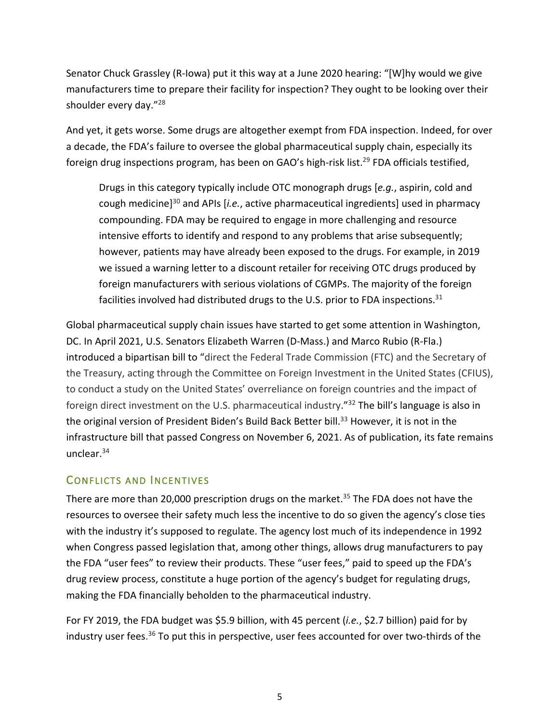Senator Chuck Grassley (R-Iowa) put it this way at a June 2020 hearing: "[W]hy would we give manufacturers time to prepare their facility for inspection? They ought to be looking over their shoulder every day."28

And yet, it gets worse. Some drugs are altogether exempt from FDA inspection. Indeed, for over a decade, the FDA's failure to oversee the global pharmaceutical supply chain, especially its foreign drug inspections program, has been on GAO's high-risk list.<sup>29</sup> FDA officials testified,

Drugs in this category typically include OTC monograph drugs [*e.g.*, aspirin, cold and cough medicine]30 and APIs [*i.e.*, active pharmaceutical ingredients] used in pharmacy compounding. FDA may be required to engage in more challenging and resource intensive efforts to identify and respond to any problems that arise subsequently; however, patients may have already been exposed to the drugs. For example, in 2019 we issued a warning letter to a discount retailer for receiving OTC drugs produced by foreign manufacturers with serious violations of CGMPs. The majority of the foreign facilities involved had distributed drugs to the U.S. prior to FDA inspections.<sup>31</sup>

Global pharmaceutical supply chain issues have started to get some attention in Washington, DC. In April 2021, U.S. Senators Elizabeth Warren (D-Mass.) and Marco Rubio (R-Fla.) introduced a bipartisan bill to "direct the Federal Trade Commission (FTC) and the Secretary of the Treasury, acting through the Committee on Foreign Investment in the United States (CFIUS), to conduct a study on the United States' overreliance on foreign countries and the impact of foreign direct investment on the U.S. pharmaceutical industry."32 The bill's language is also in the original version of President Biden's Build Back Better bill.<sup>33</sup> However, it is not in the infrastructure bill that passed Congress on November 6, 2021. As of publication, its fate remains unclear.34

## CONFLICTS AND INCENTIVES

There are more than 20,000 prescription drugs on the market.<sup>35</sup> The FDA does not have the resources to oversee their safety much less the incentive to do so given the agency's close ties with the industry it's supposed to regulate. The agency lost much of its independence in 1992 when Congress passed legislation that, among other things, allows drug manufacturers to pay the FDA "user fees" to review their products. These "user fees," paid to speed up the FDA's drug review process, constitute a huge portion of the agency's budget for regulating drugs, making the FDA financially beholden to the pharmaceutical industry.

For FY 2019, the FDA budget was \$5.9 billion, with 45 percent (*i.e.*, \$2.7 billion) paid for by industry user fees.<sup>36</sup> To put this in perspective, user fees accounted for over two-thirds of the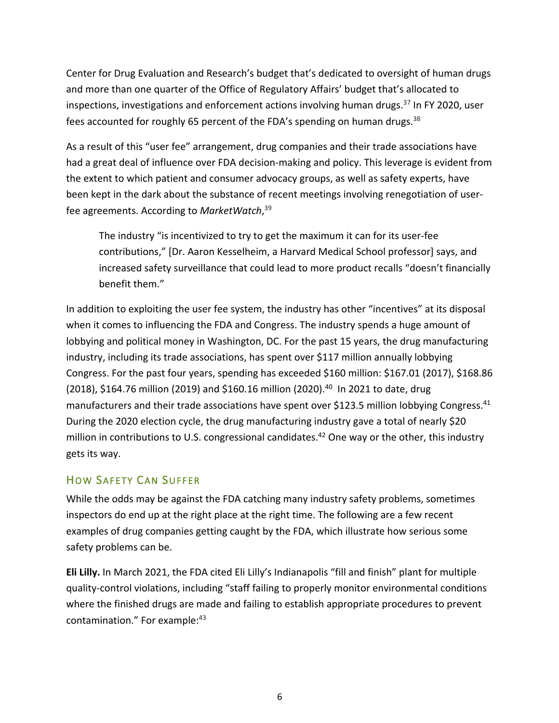Center for Drug Evaluation and Research's budget that's dedicated to oversight of human drugs and more than one quarter of the Office of Regulatory Affairs' budget that's allocated to inspections, investigations and enforcement actions involving human drugs. $37$  In FY 2020, user fees accounted for roughly 65 percent of the FDA's spending on human drugs. $38$ 

As a result of this "user fee" arrangement, drug companies and their trade associations have had a great deal of influence over FDA decision-making and policy. This leverage is evident from the extent to which patient and consumer advocacy groups, as well as safety experts, have been kept in the dark about the substance of recent meetings involving renegotiation of userfee agreements. According to *MarketWatch*, 39

The industry "is incentivized to try to get the maximum it can for its user-fee contributions," [Dr. Aaron Kesselheim, a Harvard Medical School professor] says, and increased safety surveillance that could lead to more product recalls "doesn't financially benefit them."

In addition to exploiting the user fee system, the industry has other "incentives" at its disposal when it comes to influencing the FDA and Congress. The industry spends a huge amount of lobbying and political money in Washington, DC. For the past 15 years, the drug manufacturing industry, including its trade associations, has spent over \$117 million annually lobbying Congress. For the past four years, spending has exceeded \$160 million: \$167.01 (2017), \$168.86 (2018), \$164.76 million (2019) and \$160.16 million (2020).<sup>40</sup> In 2021 to date, drug manufacturers and their trade associations have spent over \$123.5 million lobbying Congress.<sup>41</sup> During the 2020 election cycle, the drug manufacturing industry gave a total of nearly \$20 million in contributions to U.S. congressional candidates.<sup>42</sup> One way or the other, this industry gets its way.

## HOW SAFETY CAN SUFFER

While the odds may be against the FDA catching many industry safety problems, sometimes inspectors do end up at the right place at the right time. The following are a few recent examples of drug companies getting caught by the FDA, which illustrate how serious some safety problems can be.

**Eli Lilly.** In March 2021, the FDA cited Eli Lilly's Indianapolis "fill and finish" plant for multiple quality-control violations, including "staff failing to properly monitor environmental conditions where the finished drugs are made and failing to establish appropriate procedures to prevent contamination." For example: <sup>43</sup>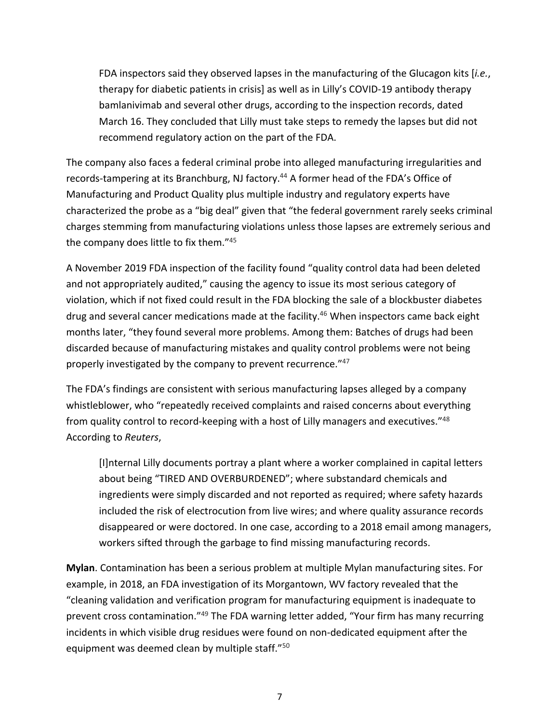FDA inspectors said they observed lapses in the manufacturing of the Glucagon kits [*i.e.*, therapy for diabetic patients in crisis] as well as in Lilly's COVID-19 antibody therapy bamlanivimab and several other drugs, according to the inspection records, dated March 16. They concluded that Lilly must take steps to remedy the lapses but did not recommend regulatory action on the part of the FDA.

The company also faces a federal criminal probe into alleged manufacturing irregularities and records-tampering at its Branchburg, NJ factory.<sup>44</sup> A former head of the FDA's Office of Manufacturing and Product Quality plus multiple industry and regulatory experts have characterized the probe as a "big deal" given that "the federal government rarely seeks criminal charges stemming from manufacturing violations unless those lapses are extremely serious and the company does little to fix them."45

A November 2019 FDA inspection of the facility found "quality control data had been deleted and not appropriately audited," causing the agency to issue its most serious category of violation, which if not fixed could result in the FDA blocking the sale of a blockbuster diabetes drug and several cancer medications made at the facility.<sup>46</sup> When inspectors came back eight months later, "they found several more problems. Among them: Batches of drugs had been discarded because of manufacturing mistakes and quality control problems were not being properly investigated by the company to prevent recurrence."47

The FDA's findings are consistent with serious manufacturing lapses alleged by a company whistleblower, who "repeatedly received complaints and raised concerns about everything from quality control to record-keeping with a host of Lilly managers and executives."48 According to *Reuters*,

[I]nternal Lilly documents portray a plant where a worker complained in capital letters about being "TIRED AND OVERBURDENED"; where substandard chemicals and ingredients were simply discarded and not reported as required; where safety hazards included the risk of electrocution from live wires; and where quality assurance records disappeared or were doctored. In one case, according to a 2018 email among managers, workers sifted through the garbage to find missing manufacturing records.

**Mylan**. Contamination has been a serious problem at multiple Mylan manufacturing sites. For example, in 2018, an FDA investigation of its Morgantown, WV factory revealed that the "cleaning validation and verification program for manufacturing equipment is inadequate to prevent cross contamination."49 The FDA warning letter added, "Your firm has many recurring incidents in which visible drug residues were found on non-dedicated equipment after the equipment was deemed clean by multiple staff."50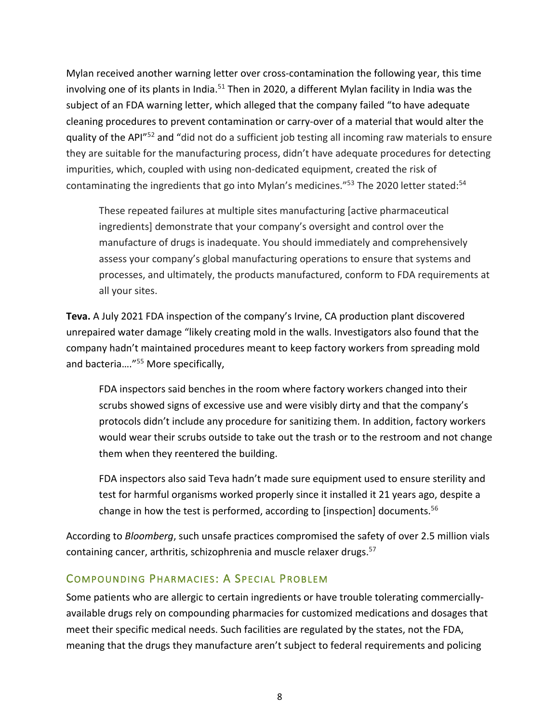Mylan received another warning letter over cross-contamination the following year, this time involving one of its plants in India.<sup>51</sup> Then in 2020, a different Mylan facility in India was the subject of an FDA warning letter, which alleged that the company failed "to have adequate cleaning procedures to prevent contamination or carry-over of a material that would alter the quality of the API"52 and "did not do a sufficient job testing all incoming raw materials to ensure they are suitable for the manufacturing process, didn't have adequate procedures for detecting impurities, which, coupled with using non-dedicated equipment, created the risk of contaminating the ingredients that go into Mylan's medicines."<sup>53</sup> The 2020 letter stated:<sup>54</sup>

These repeated failures at multiple sites manufacturing [active pharmaceutical ingredients] demonstrate that your company's oversight and control over the manufacture of drugs is inadequate. You should immediately and comprehensively assess your company's global manufacturing operations to ensure that systems and processes, and ultimately, the products manufactured, conform to FDA requirements at all your sites.

**Teva.** A July 2021 FDA inspection of the company's Irvine, CA production plant discovered unrepaired water damage "likely creating mold in the walls. Investigators also found that the company hadn't maintained procedures meant to keep factory workers from spreading mold and bacteria…."55 More specifically,

FDA inspectors said benches in the room where factory workers changed into their scrubs showed signs of excessive use and were visibly dirty and that the company's protocols didn't include any procedure for sanitizing them. In addition, factory workers would wear their scrubs outside to take out the trash or to the restroom and not change them when they reentered the building.

FDA inspectors also said Teva hadn't made sure equipment used to ensure sterility and test for harmful organisms worked properly since it installed it 21 years ago, despite a change in how the test is performed, according to [inspection] documents. $56$ 

According to *Bloomberg*, such unsafe practices compromised the safety of over 2.5 million vials containing cancer, arthritis, schizophrenia and muscle relaxer drugs.<sup>57</sup>

## COMPOUNDING PHARMACIES: A SPECIAL PROBLEM

Some patients who are allergic to certain ingredients or have trouble tolerating commerciallyavailable drugs rely on compounding pharmacies for customized medications and dosages that meet their specific medical needs. Such facilities are regulated by the states, not the FDA, meaning that the drugs they manufacture aren't subject to federal requirements and policing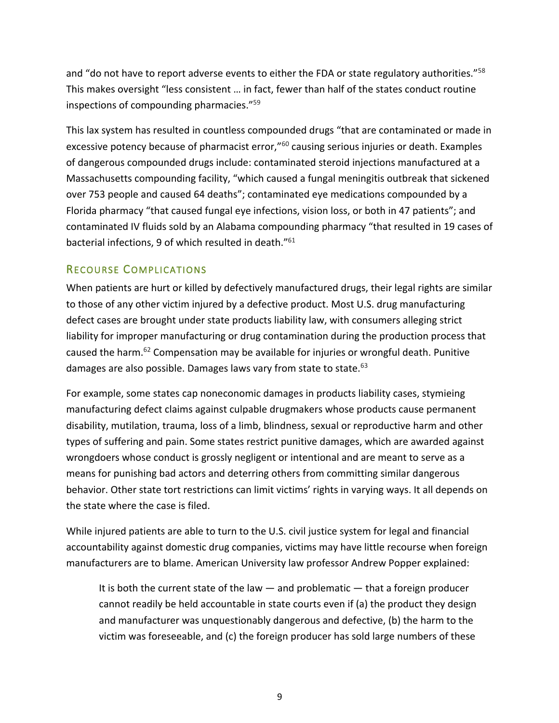and "do not have to report adverse events to either the FDA or state regulatory authorities." $58$ This makes oversight "less consistent … in fact, fewer than half of the states conduct routine inspections of compounding pharmacies."59

This lax system has resulted in countless compounded drugs "that are contaminated or made in excessive potency because of pharmacist error,"<sup>60</sup> causing serious injuries or death. Examples of dangerous compounded drugs include: contaminated steroid injections manufactured at a Massachusetts compounding facility, "which caused a fungal meningitis outbreak that sickened over 753 people and caused 64 deaths"; contaminated eye medications compounded by a Florida pharmacy "that caused fungal eye infections, vision loss, or both in 47 patients"; and contaminated IV fluids sold by an Alabama compounding pharmacy "that resulted in 19 cases of bacterial infections, 9 of which resulted in death."61

#### RECOURSE COMPLICATIONS

When patients are hurt or killed by defectively manufactured drugs, their legal rights are similar to those of any other victim injured by a defective product. Most U.S. drug manufacturing defect cases are brought under state products liability law, with consumers alleging strict liability for improper manufacturing or drug contamination during the production process that caused the harm.62 Compensation may be available for injuries or wrongful death. Punitive damages are also possible. Damages laws vary from state to state. $^{63}$ 

For example, some states cap noneconomic damages in products liability cases, stymieing manufacturing defect claims against culpable drugmakers whose products cause permanent disability, mutilation, trauma, loss of a limb, blindness, sexual or reproductive harm and other types of suffering and pain. Some states restrict punitive damages, which are awarded against wrongdoers whose conduct is grossly negligent or intentional and are meant to serve as a means for punishing bad actors and deterring others from committing similar dangerous behavior. Other state tort restrictions can limit victims' rights in varying ways. It all depends on the state where the case is filed.

While injured patients are able to turn to the U.S. civil justice system for legal and financial accountability against domestic drug companies, victims may have little recourse when foreign manufacturers are to blame. American University law professor Andrew Popper explained:

It is both the current state of the law  $-$  and problematic  $-$  that a foreign producer cannot readily be held accountable in state courts even if (a) the product they design and manufacturer was unquestionably dangerous and defective, (b) the harm to the victim was foreseeable, and (c) the foreign producer has sold large numbers of these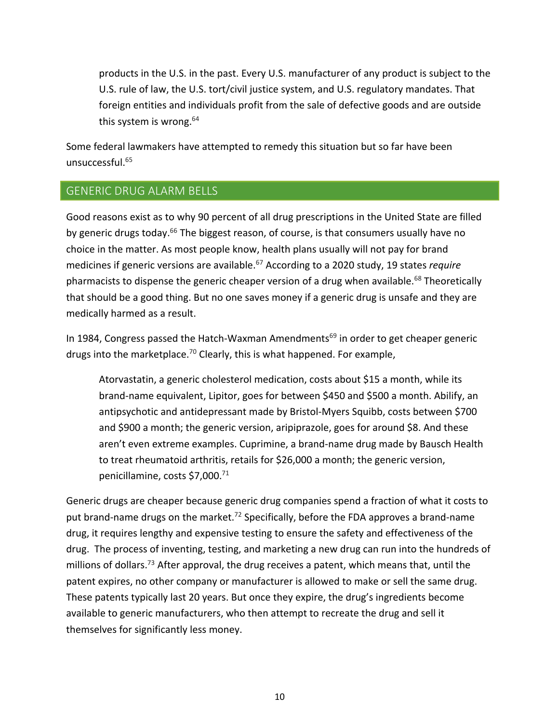products in the U.S. in the past. Every U.S. manufacturer of any product is subject to the U.S. rule of law, the U.S. tort/civil justice system, and U.S. regulatory mandates. That foreign entities and individuals profit from the sale of defective goods and are outside this system is wrong.<sup>64</sup>

Some federal lawmakers have attempted to remedy this situation but so far have been unsuccessful.65

## GENERIC DRUG ALARM BELLS

Good reasons exist as to why 90 percent of all drug prescriptions in the United State are filled by generic drugs today.<sup>66</sup> The biggest reason, of course, is that consumers usually have no choice in the matter. As most people know, health plans usually will not pay for brand medicines if generic versions are available.<sup>67</sup> According to a 2020 study, 19 states *require* pharmacists to dispense the generic cheaper version of a drug when available.<sup>68</sup> Theoretically that should be a good thing. But no one saves money if a generic drug is unsafe and they are medically harmed as a result.

In 1984, Congress passed the Hatch-Waxman Amendments<sup>69</sup> in order to get cheaper generic drugs into the marketplace.<sup>70</sup> Clearly, this is what happened. For example,

Atorvastatin, a generic cholesterol medication, costs about \$15 a month, while its brand-name equivalent, Lipitor, goes for between \$450 and \$500 a month. Abilify, an antipsychotic and antidepressant made by Bristol-Myers Squibb, costs between \$700 and \$900 a month; the generic version, aripiprazole, goes for around \$8. And these aren't even extreme examples. Cuprimine, a brand-name drug made by Bausch Health to treat rheumatoid arthritis, retails for \$26,000 a month; the generic version, penicillamine, costs \$7,000.71

Generic drugs are cheaper because generic drug companies spend a fraction of what it costs to put brand-name drugs on the market.<sup>72</sup> Specifically, before the FDA approves a brand-name drug, it requires lengthy and expensive testing to ensure the safety and effectiveness of the drug. The process of inventing, testing, and marketing a new drug can run into the hundreds of millions of dollars.<sup>73</sup> After approval, the drug receives a patent, which means that, until the patent expires, no other company or manufacturer is allowed to make or sell the same drug. These patents typically last 20 years. But once they expire, the drug's ingredients become available to generic manufacturers, who then attempt to recreate the drug and sell it themselves for significantly less money.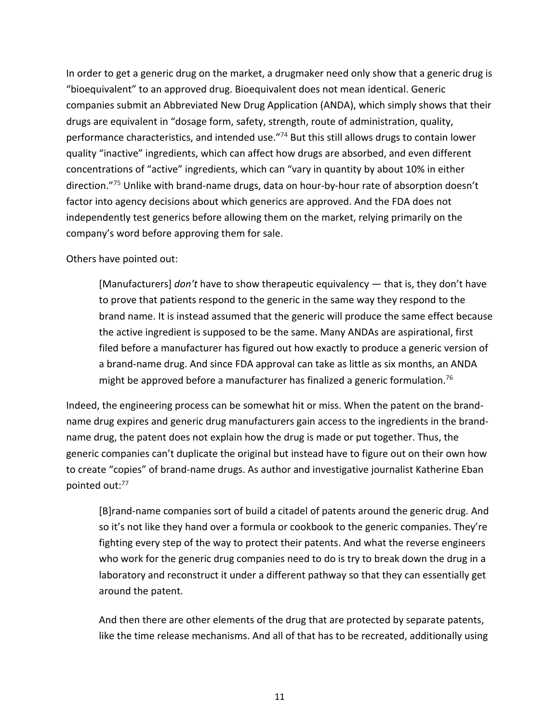In order to get a generic drug on the market, a drugmaker need only show that a generic drug is "bioequivalent" to an approved drug. Bioequivalent does not mean identical. Generic companies submit an Abbreviated New Drug Application (ANDA), which simply shows that their drugs are equivalent in "dosage form, safety, strength, route of administration, quality, performance characteristics, and intended use."74 But this still allows drugs to contain lower quality "inactive" ingredients, which can affect how drugs are absorbed, and even different concentrations of "active" ingredients, which can "vary in quantity by about 10% in either direction."75 Unlike with brand-name drugs, data on hour-by-hour rate of absorption doesn't factor into agency decisions about which generics are approved. And the FDA does not independently test generics before allowing them on the market, relying primarily on the company's word before approving them for sale.

Others have pointed out:

[Manufacturers] *don't* have to show therapeutic equivalency — that is, they don't have to prove that patients respond to the generic in the same way they respond to the brand name. It is instead assumed that the generic will produce the same effect because the active ingredient is supposed to be the same. Many ANDAs are aspirational, first filed before a manufacturer has figured out how exactly to produce a generic version of a brand-name drug. And since FDA approval can take as little as six months, an ANDA might be approved before a manufacturer has finalized a generic formulation.<sup>76</sup>

Indeed, the engineering process can be somewhat hit or miss. When the patent on the brandname drug expires and generic drug manufacturers gain access to the ingredients in the brandname drug, the patent does not explain how the drug is made or put together. Thus, the generic companies can't duplicate the original but instead have to figure out on their own how to create "copies" of brand-name drugs. As author and investigative journalist Katherine Eban pointed out:77

[B]rand-name companies sort of build a citadel of patents around the generic drug. And so it's not like they hand over a formula or cookbook to the generic companies. They're fighting every step of the way to protect their patents. And what the reverse engineers who work for the generic drug companies need to do is try to break down the drug in a laboratory and reconstruct it under a different pathway so that they can essentially get around the patent.

And then there are other elements of the drug that are protected by separate patents, like the time release mechanisms. And all of that has to be recreated, additionally using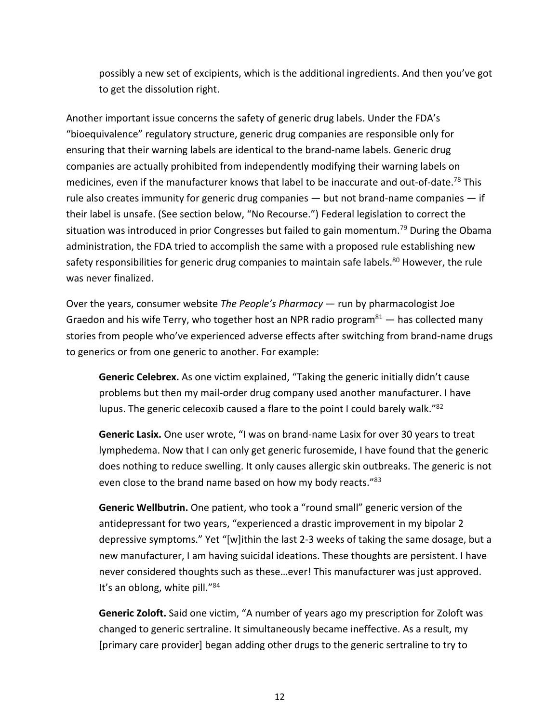possibly a new set of excipients, which is the additional ingredients. And then you've got to get the dissolution right.

Another important issue concerns the safety of generic drug labels. Under the FDA's "bioequivalence" regulatory structure, generic drug companies are responsible only for ensuring that their warning labels are identical to the brand-name labels. Generic drug companies are actually prohibited from independently modifying their warning labels on medicines, even if the manufacturer knows that label to be inaccurate and out-of-date.<sup>78</sup> This rule also creates immunity for generic drug companies — but not brand-name companies — if their label is unsafe. (See section below, "No Recourse.") Federal legislation to correct the situation was introduced in prior Congresses but failed to gain momentum.<sup>79</sup> During the Obama administration, the FDA tried to accomplish the same with a proposed rule establishing new safety responsibilities for generic drug companies to maintain safe labels.<sup>80</sup> However, the rule was never finalized.

Over the years, consumer website *The People's Pharmacy* — run by pharmacologist Joe Graedon and his wife Terry, who together host an NPR radio program $^{81}$  - has collected many stories from people who've experienced adverse effects after switching from brand-name drugs to generics or from one generic to another. For example:

**Generic Celebrex.** As one victim explained, "Taking the generic initially didn't cause problems but then my mail-order drug company used another manufacturer. I have lupus. The generic celecoxib caused a flare to the point I could barely walk."<sup>82</sup>

**Generic Lasix.** One user wrote, "I was on brand-name Lasix for over 30 years to treat lymphedema. Now that I can only get generic furosemide, I have found that the generic does nothing to reduce swelling. It only causes allergic skin outbreaks. The generic is not even close to the brand name based on how my body reacts."<sup>83</sup>

**Generic Wellbutrin.** One patient, who took a "round small" generic version of the antidepressant for two years, "experienced a drastic improvement in my bipolar 2 depressive symptoms." Yet "[w]ithin the last 2-3 weeks of taking the same dosage, but a new manufacturer, I am having suicidal ideations. These thoughts are persistent. I have never considered thoughts such as these…ever! This manufacturer was just approved. It's an oblong, white pill."<sup>84</sup>

**Generic Zoloft.** Said one victim, "A number of years ago my prescription for Zoloft was changed to generic sertraline. It simultaneously became ineffective. As a result, my [primary care provider] began adding other drugs to the generic sertraline to try to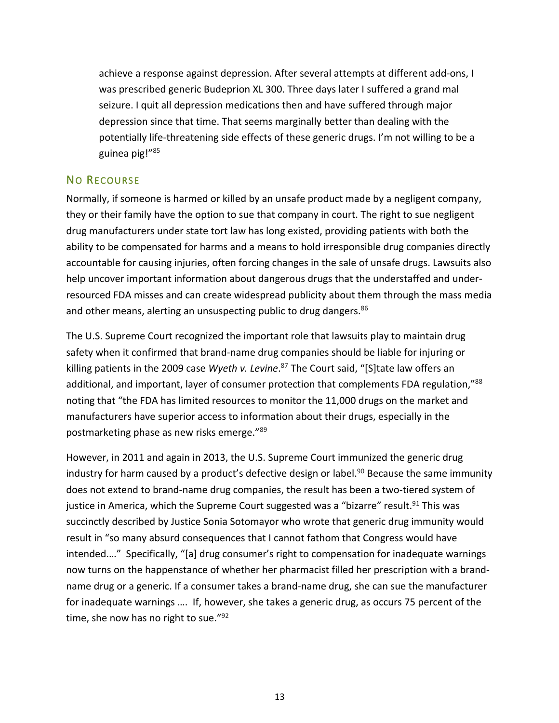achieve a response against depression. After several attempts at different add-ons, I was prescribed generic Budeprion XL 300. Three days later I suffered a grand mal seizure. I quit all depression medications then and have suffered through major depression since that time. That seems marginally better than dealing with the potentially life-threatening side effects of these generic drugs. I'm not willing to be a guinea pig!"85

#### NO RECOURSE

Normally, if someone is harmed or killed by an unsafe product made by a negligent company, they or their family have the option to sue that company in court. The right to sue negligent drug manufacturers under state tort law has long existed, providing patients with both the ability to be compensated for harms and a means to hold irresponsible drug companies directly accountable for causing injuries, often forcing changes in the sale of unsafe drugs. Lawsuits also help uncover important information about dangerous drugs that the understaffed and underresourced FDA misses and can create widespread publicity about them through the mass media and other means, alerting an unsuspecting public to drug dangers.<sup>86</sup>

The U.S. Supreme Court recognized the important role that lawsuits play to maintain drug safety when it confirmed that brand-name drug companies should be liable for injuring or killing patients in the 2009 case *Wyeth v. Levine*. <sup>87</sup> The Court said, "[S]tate law offers an additional, and important, layer of consumer protection that complements FDA regulation,"88 noting that "the FDA has limited resources to monitor the 11,000 drugs on the market and manufacturers have superior access to information about their drugs, especially in the postmarketing phase as new risks emerge."89

However, in 2011 and again in 2013, the U.S. Supreme Court immunized the generic drug industry for harm caused by a product's defective design or label.<sup>90</sup> Because the same immunity does not extend to brand-name drug companies, the result has been a two-tiered system of justice in America, which the Supreme Court suggested was a "bizarre" result.<sup>91</sup> This was succinctly described by Justice Sonia Sotomayor who wrote that generic drug immunity would result in "so many absurd consequences that I cannot fathom that Congress would have intended.…" Specifically, "[a] drug consumer's right to compensation for inadequate warnings now turns on the happenstance of whether her pharmacist filled her prescription with a brandname drug or a generic. If a consumer takes a brand-name drug, she can sue the manufacturer for inadequate warnings …. If, however, she takes a generic drug, as occurs 75 percent of the time, she now has no right to sue."<sup>92</sup>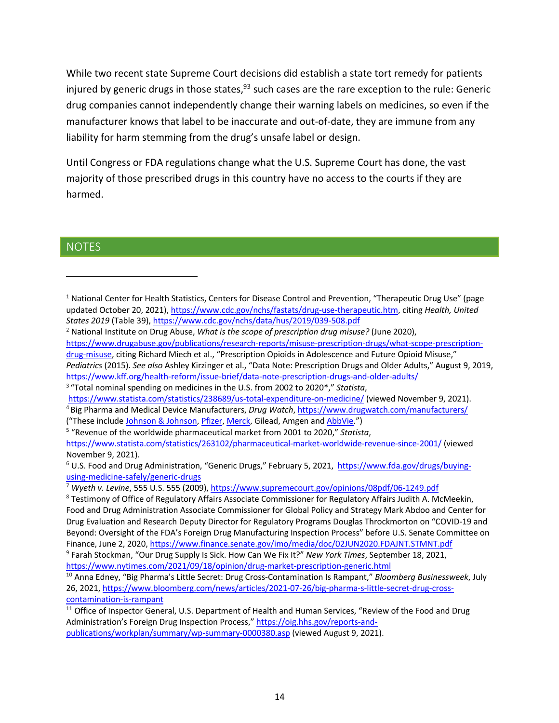While two recent state Supreme Court decisions did establish a state tort remedy for patients injured by generic drugs in those states,  $93$  such cases are the rare exception to the rule: Generic drug companies cannot independently change their warning labels on medicines, so even if the manufacturer knows that label to be inaccurate and out-of-date, they are immune from any liability for harm stemming from the drug's unsafe label or design.

Until Congress or FDA regulations change what the U.S. Supreme Court has done, the vast majority of those prescribed drugs in this country have no access to the courts if they are harmed.

#### **NOTES**

("These include Johnson & Johnson, Pfizer, Merck, Gilead, Amgen and AbbVie.") 5 "Revenue of the worldwide pharmaceutical market from 2001 to 2020," *Statista*,

<sup>&</sup>lt;sup>1</sup> National Center for Health Statistics, Centers for Disease Control and Prevention, "Therapeutic Drug Use" (page updated October 20, 2021), https://www.cdc.gov/nchs/fastats/drug-use-therapeutic.htm, citing *Health, United States 2019* (Table 39), https://www.cdc.gov/nchs/data/hus/2019/039-508.pdf

<sup>2</sup> National Institute on Drug Abuse, *What is the scope of prescription drug misuse?* (June 2020), https://www.drugabuse.gov/publications/research-reports/misuse-prescription-drugs/what-scope-prescription-

drug-misuse, citing Richard Miech et al., "Prescription Opioids in Adolescence and Future Opioid Misuse," *Pediatrics* (2015). *See also* Ashley Kirzinger et al., "Data Note: Prescription Drugs and Older Adults," August 9, 2019, https://www.kff.org/health-reform/issue-brief/data-note-prescription-drugs-and-older-adults/

<sup>3</sup> "Total nominal spending on medicines in the U.S. from 2002 to 2020\*," *Statista*,

https://www.statista.com/statistics/238689/us-total-expenditure-on-medicine/ (viewed November 9, 2021).

<sup>4</sup> Big Pharma and Medical Device Manufacturers, *Drug Watch*, https://www.drugwatch.com/manufacturers/

https://www.statista.com/statistics/263102/pharmaceutical-market-worldwide-revenue-since-2001/ (viewed November 9, 2021).

<sup>&</sup>lt;sup>6</sup> U.S. Food and Drug Administration, "Generic Drugs," February 5, 2021, https://www.fda.gov/drugs/buyingusing-medicine-safely/generic-drugs

<sup>7</sup> *Wyeth v. Levine*, 555 U.S. 555 (2009), https://www.supremecourt.gov/opinions/08pdf/06-1249.pdf

<sup>8</sup> Testimony of Office of Regulatory Affairs Associate Commissioner for Regulatory Affairs Judith A. McMeekin, Food and Drug Administration Associate Commissioner for Global Policy and Strategy Mark Abdoo and Center for Drug Evaluation and Research Deputy Director for Regulatory Programs Douglas Throckmorton on "COVID-19 and Beyond: Oversight of the FDA's Foreign Drug Manufacturing Inspection Process" before U.S. Senate Committee on Finance, June 2, 2020, https://www.finance.senate.gov/imo/media/doc/02JUN2020.FDAJNT.STMNT.pdf

<sup>9</sup> Farah Stockman, "Our Drug Supply Is Sick. How Can We Fix It?" *New York Times*, September 18, 2021, https://www.nytimes.com/2021/09/18/opinion/drug-market-prescription-generic.html

<sup>10</sup> Anna Edney, "Big Pharma's Little Secret: Drug Cross-Contamination Is Rampant," *Bloomberg Businessweek*, July 26, 2021, https://www.bloomberg.com/news/articles/2021-07-26/big-pharma-s-little-secret-drug-crosscontamination-is-rampant

<sup>&</sup>lt;sup>11</sup> Office of Inspector General, U.S. Department of Health and Human Services, "Review of the Food and Drug Administration's Foreign Drug Inspection Process," https://oig.hhs.gov/reports-andpublications/workplan/summary/wp-summary-0000380.asp (viewed August 9, 2021).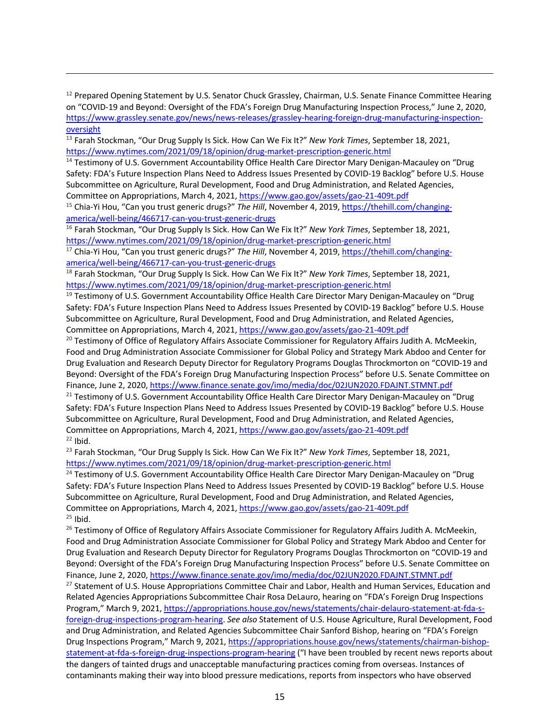<sup>12</sup> Prepared Opening Statement by U.S. Senator Chuck Grassley, Chairman, U.S. Senate Finance Committee Hearing on "COVID-19 and Beyond: Oversight of the FDA's Foreign Drug Manufacturing Inspection Process," June 2, 2020, https://www.grassley.senate.gov/news/news-releases/grassley-hearing-foreign-drug-manufacturing-inspectionoversight

<sup>13</sup> Farah Stockman, "Our Drug Supply Is Sick. How Can We Fix It?" *New York Times*, September 18, 2021, https://www.nytimes.com/2021/09/18/opinion/drug-market-prescription-generic.html

<sup>14</sup> Testimony of U.S. Government Accountability Office Health Care Director Mary Denigan-Macauley on "Drug Safety: FDA's Future Inspection Plans Need to Address Issues Presented by COVID-19 Backlog" before U.S. House Subcommittee on Agriculture, Rural Development, Food and Drug Administration, and Related Agencies, Committee on Appropriations, March 4, 2021, https://www.gao.gov/assets/gao-21-409t.pdf

<sup>15</sup> Chia-Yi Hou, "Can you trust generic drugs?" *The Hill*, November 4, 2019, https://thehill.com/changingamerica/well-being/466717-can-you-trust-generic-drugs

<sup>16</sup> Farah Stockman, "Our Drug Supply Is Sick. How Can We Fix It?" *New York Times*, September 18, 2021, https://www.nytimes.com/2021/09/18/opinion/drug-market-prescription-generic.html

<sup>17</sup> Chia-Yi Hou, "Can you trust generic drugs?" The Hill, November 4, 2019, https://thehill.com/changingamerica/well-being/466717-can-you-trust-generic-drugs

<sup>18</sup> Farah Stockman, "Our Drug Supply Is Sick. How Can We Fix It?" *New York Times*, September 18, 2021, https://www.nytimes.com/2021/09/18/opinion/drug-market-prescription-generic.html

<sup>19</sup> Testimony of U.S. Government Accountability Office Health Care Director Mary Denigan-Macauley on "Drug Safety: FDA's Future Inspection Plans Need to Address Issues Presented by COVID-19 Backlog" before U.S. House Subcommittee on Agriculture, Rural Development, Food and Drug Administration, and Related Agencies, Committee on Appropriations, March 4, 2021, https://www.gao.gov/assets/gao-21-409t.pdf

<sup>20</sup> Testimony of Office of Regulatory Affairs Associate Commissioner for Regulatory Affairs Judith A. McMeekin, Food and Drug Administration Associate Commissioner for Global Policy and Strategy Mark Abdoo and Center for Drug Evaluation and Research Deputy Director for Regulatory Programs Douglas Throckmorton on "COVID-19 and Beyond: Oversight of the FDA's Foreign Drug Manufacturing Inspection Process" before U.S. Senate Committee on Finance, June 2, 2020, https://www.finance.senate.gov/imo/media/doc/02JUN2020.FDAJNT.STMNT.pdf

<sup>21</sup> Testimony of U.S. Government Accountability Office Health Care Director Mary Denigan-Macauley on "Drug Safety: FDA's Future Inspection Plans Need to Address Issues Presented by COVID-19 Backlog" before U.S. House Subcommittee on Agriculture, Rural Development, Food and Drug Administration, and Related Agencies, Committee on Appropriations, March 4, 2021, https://www.gao.gov/assets/gao-21-409t.pdf  $22$  Ibid.

<sup>23</sup> Farah Stockman, "Our Drug Supply Is Sick. How Can We Fix It?" *New York Times*, September 18, 2021, https://www.nytimes.com/2021/09/18/opinion/drug-market-prescription-generic.html

<sup>24</sup> Testimony of U.S. Government Accountability Office Health Care Director Mary Denigan-Macauley on "Drug Safety: FDA's Future Inspection Plans Need to Address Issues Presented by COVID-19 Backlog" before U.S. House Subcommittee on Agriculture, Rural Development, Food and Drug Administration, and Related Agencies, Committee on Appropriations, March 4, 2021, https://www.gao.gov/assets/gao-21-409t.pdf  $25$  Ibid.

<sup>26</sup> Testimony of Office of Regulatory Affairs Associate Commissioner for Regulatory Affairs Judith A. McMeekin, Food and Drug Administration Associate Commissioner for Global Policy and Strategy Mark Abdoo and Center for Drug Evaluation and Research Deputy Director for Regulatory Programs Douglas Throckmorton on "COVID-19 and Beyond: Oversight of the FDA's Foreign Drug Manufacturing Inspection Process" before U.S. Senate Committee on Finance, June 2, 2020, https://www.finance.senate.gov/imo/media/doc/02JUN2020.FDAJNT.STMNT.pdf <sup>27</sup> Statement of U.S. House Appropriations Committee Chair and Labor, Health and Human Services, Education and Related Agencies Appropriations Subcommittee Chair Rosa DeLauro, hearing on "FDA's Foreign Drug Inspections Program," March 9, 2021, https://appropriations.house.gov/news/statements/chair-delauro-statement-at-fda-sforeign-drug-inspections-program-hearing. *See also* Statement of U.S. House Agriculture, Rural Development, Food and Drug Administration, and Related Agencies Subcommittee Chair Sanford Bishop, hearing on "FDA's Foreign Drug Inspections Program," March 9, 2021, https://appropriations.house.gov/news/statements/chairman-bishopstatement-at-fda-s-foreign-drug-inspections-program-hearing ("I have been troubled by recent news reports about the dangers of tainted drugs and unacceptable manufacturing practices coming from overseas. Instances of contaminants making their way into blood pressure medications, reports from inspectors who have observed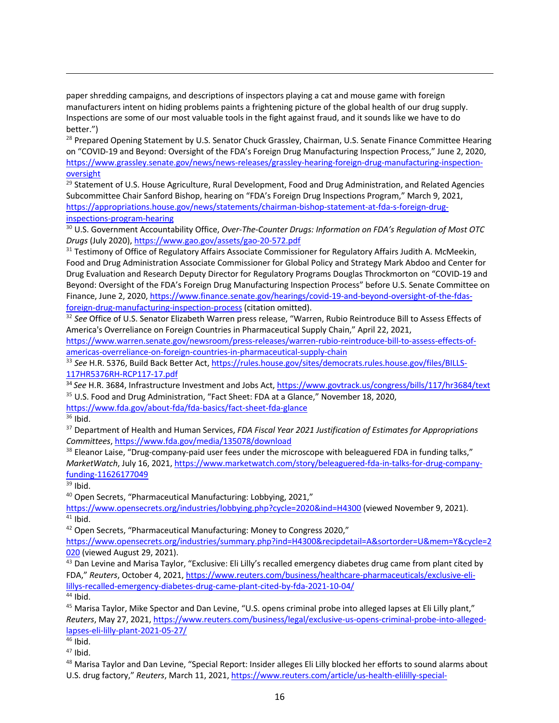paper shredding campaigns, and descriptions of inspectors playing a cat and mouse game with foreign manufacturers intent on hiding problems paints a frightening picture of the global health of our drug supply. Inspections are some of our most valuable tools in the fight against fraud, and it sounds like we have to do better.")

<sup>28</sup> Prepared Opening Statement by U.S. Senator Chuck Grassley, Chairman, U.S. Senate Finance Committee Hearing on "COVID-19 and Beyond: Oversight of the FDA's Foreign Drug Manufacturing Inspection Process," June 2, 2020, https://www.grassley.senate.gov/news/news-releases/grassley-hearing-foreign-drug-manufacturing-inspectionoversight

<sup>29</sup> Statement of U.S. House Agriculture, Rural Development, Food and Drug Administration, and Related Agencies Subcommittee Chair Sanford Bishop, hearing on "FDA's Foreign Drug Inspections Program," March 9, 2021, https://appropriations.house.gov/news/statements/chairman-bishop-statement-at-fda-s-foreign-druginspections-program-hearing

<sup>30</sup> U.S. Government Accountability Office, *Over-The-Counter Drugs: Information on FDA's Regulation of Most OTC Drugs* (July 2020), https://www.gao.gov/assets/gao-20-572.pdf

<sup>31</sup> Testimony of Office of Regulatory Affairs Associate Commissioner for Regulatory Affairs Judith A. McMeekin, Food and Drug Administration Associate Commissioner for Global Policy and Strategy Mark Abdoo and Center for Drug Evaluation and Research Deputy Director for Regulatory Programs Douglas Throckmorton on "COVID-19 and Beyond: Oversight of the FDA's Foreign Drug Manufacturing Inspection Process" before U.S. Senate Committee on Finance, June 2, 2020, https://www.finance.senate.gov/hearings/covid-19-and-beyond-oversight-of-the-fdasforeign-drug-manufacturing-inspection-process (citation omitted).

<sup>32</sup> *See* Office of U.S. Senator Elizabeth Warren press release, "Warren, Rubio Reintroduce Bill to Assess Effects of America's Overreliance on Foreign Countries in Pharmaceutical Supply Chain," April 22, 2021,

https://www.warren.senate.gov/newsroom/press-releases/warren-rubio-reintroduce-bill-to-assess-effects-ofamericas-overreliance-on-foreign-countries-in-pharmaceutical-supply-chain

<sup>33</sup> *See* H.R. 5376, Build Back Better Act, https://rules.house.gov/sites/democrats.rules.house.gov/files/BILLS-117HR5376RH-RCP117-17.pdf

<sup>34</sup> *See* H.R. 3684, Infrastructure Investment and Jobs Act, https://www.govtrack.us/congress/bills/117/hr3684/text <sup>35</sup> U.S. Food and Drug Administration, "Fact Sheet: FDA at a Glance," November 18, 2020,

https://www.fda.gov/about-fda/fda-basics/fact-sheet-fda-glance

 $36$  Ibid.

<sup>37</sup> Department of Health and Human Services, *FDA Fiscal Year 2021 Justification of Estimates for Appropriations Committees*, https://www.fda.gov/media/135078/download

<sup>38</sup> Eleanor Laise, "Drug-company-paid user fees under the microscope with beleaguered FDA in funding talks," *MarketWatch*, July 16, 2021, https://www.marketwatch.com/story/beleaguered-fda-in-talks-for-drug-companyfunding-11626177049

 $39$  Ibid.

<sup>40</sup> Open Secrets, "Pharmaceutical Manufacturing: Lobbying, 2021,"

https://www.opensecrets.org/industries/lobbying.php?cycle=2020&ind=H4300 (viewed November 9, 2021).  $41$  Ibid.

<sup>42</sup> Open Secrets, "Pharmaceutical Manufacturing: Money to Congress 2020,"

https://www.opensecrets.org/industries/summary.php?ind=H4300&recipdetail=A&sortorder=U&mem=Y&cycle=2 020 (viewed August 29, 2021).

<sup>43</sup> Dan Levine and Marisa Taylor, "Exclusive: Eli Lilly's recalled emergency diabetes drug came from plant cited by FDA," *Reuters*, October 4, 2021, https://www.reuters.com/business/healthcare-pharmaceuticals/exclusive-elilillys-recalled-emergency-diabetes-drug-came-plant-cited-by-fda-2021-10-04/

 $44$  Ibid.

<sup>45</sup> Marisa Taylor, Mike Spector and Dan Levine, "U.S. opens criminal probe into alleged lapses at Eli Lilly plant," *Reuters*, May 27, 2021, https://www.reuters.com/business/legal/exclusive-us-opens-criminal-probe-into-allegedlapses-eli-lilly-plant-2021-05-27/

<sup>46</sup> Ibid.

 $47$  Ibid.

<sup>48</sup> Marisa Taylor and Dan Levine, "Special Report: Insider alleges Eli Lilly blocked her efforts to sound alarms about U.S. drug factory," *Reuters*, March 11, 2021, https://www.reuters.com/article/us-health-elililly-special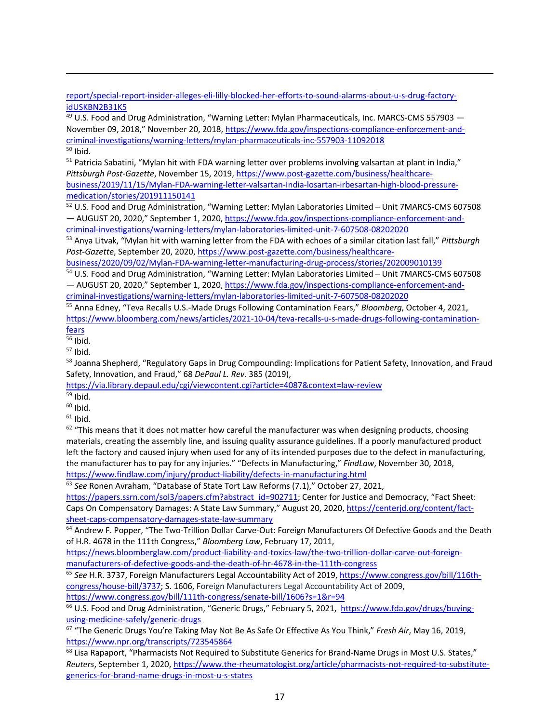report/special-report-insider-alleges-eli-lilly-blocked-her-efforts-to-sound-alarms-about-u-s-drug-factoryidUSKBN2B31K5

<sup>49</sup> U.S. Food and Drug Administration, "Warning Letter: Mylan Pharmaceuticals, Inc. MARCS-CMS 557903 -November 09, 2018," November 20, 2018, https://www.fda.gov/inspections-compliance-enforcement-andcriminal-investigations/warning-letters/mylan-pharmaceuticals-inc-557903-11092018  $50$  Ibid.

<sup>51</sup> Patricia Sabatini, "Mylan hit with FDA warning letter over problems involving valsartan at plant in India," *Pittsburgh Post-Gazette*, November 15, 2019, https://www.post-gazette.com/business/healthcarebusiness/2019/11/15/Mylan-FDA-warning-letter-valsartan-India-losartan-irbesartan-high-blood-pressuremedication/stories/201911150141

<sup>52</sup> U.S. Food and Drug Administration, "Warning Letter: Mylan Laboratories Limited – Unit 7MARCS-CMS 607508 — AUGUST 20, 2020," September 1, 2020, https://www.fda.gov/inspections-compliance-enforcement-andcriminal-investigations/warning-letters/mylan-laboratories-limited-unit-7-607508-08202020

<sup>53</sup> Anya Litvak, "Mylan hit with warning letter from the FDA with echoes of a similar citation last fall," *Pittsburgh Post-Gazette*, September 20, 2020, https://www.post-gazette.com/business/healthcare-

business/2020/09/02/Mylan-FDA-warning-letter-manufacturing-drug-process/stories/202009010139

<sup>54</sup> U.S. Food and Drug Administration, "Warning Letter: Mylan Laboratories Limited – Unit 7MARCS-CMS 607508 — AUGUST 20, 2020," September 1, 2020, https://www.fda.gov/inspections-compliance-enforcement-andcriminal-investigations/warning-letters/mylan-laboratories-limited-unit-7-607508-08202020

<sup>55</sup> Anna Edney, "Teva Recalls U.S.-Made Drugs Following Contamination Fears," *Bloomberg*, October 4, 2021, https://www.bloomberg.com/news/articles/2021-10-04/teva-recalls-u-s-made-drugs-following-contaminationfears

 $56$  Ibid.

 $57$  Ibid.

58 Joanna Shepherd, "Regulatory Gaps in Drug Compounding: Implications for Patient Safety, Innovation, and Fraud Safety, Innovation, and Fraud," 68 *DePaul L. Rev.* 385 (2019),

https://via.library.depaul.edu/cgi/viewcontent.cgi?article=4087&context=law-review

- $59$  Ibid.
- $60$  Ibid.

 $61$  Ibid.

 $62$  "This means that it does not matter how careful the manufacturer was when designing products, choosing materials, creating the assembly line, and issuing quality assurance guidelines. If a poorly manufactured product left the factory and caused injury when used for any of its intended purposes due to the defect in manufacturing, the manufacturer has to pay for any injuries." "Defects in Manufacturing," *FindLaw*, November 30, 2018, https://www.findlaw.com/injury/product-liability/defects-in-manufacturing.html

<sup>63</sup> *See* Ronen Avraham, "Database of State Tort Law Reforms (7.1)," October 27, 2021,

https://papers.ssrn.com/sol3/papers.cfm?abstract\_id=902711; Center for Justice and Democracy, "Fact Sheet: Caps On Compensatory Damages: A State Law Summary," August 20, 2020, https://centerjd.org/content/factsheet-caps-compensatory-damages-state-law-summary

<sup>64</sup> Andrew F. Popper, "The Two-Trillion Dollar Carve-Out: Foreign Manufacturers Of Defective Goods and the Death of H.R. 4678 in the 111th Congress," *Bloomberg Law*, February 17, 2011,

https://news.bloomberglaw.com/product-liability-and-toxics-law/the-two-trillion-dollar-carve-out-foreignmanufacturers-of-defective-goods-and-the-death-of-hr-4678-in-the-111th-congress

<sup>65</sup> *See* H.R. 3737, Foreign Manufacturers Legal Accountability Act of 2019, https://www.congress.gov/bill/116thcongress/house-bill/3737; S. 1606, Foreign Manufacturers Legal Accountability Act of 2009, https://www.congress.gov/bill/111th-congress/senate-bill/1606?s=1&r=94

<sup>66</sup> U.S. Food and Drug Administration, "Generic Drugs," February 5, 2021, https://www.fda.gov/drugs/buyingusing-medicine-safely/generic-drugs

<sup>67</sup> "The Generic Drugs You're Taking May Not Be As Safe Or Effective As You Think," *Fresh Air*, May 16, 2019, https://www.npr.org/transcripts/723545864

<sup>68</sup> Lisa Rapaport, "Pharmacists Not Required to Substitute Generics for Brand-Name Drugs in Most U.S. States," *Reuters*, September 1, 2020, https://www.the-rheumatologist.org/article/pharmacists-not-required-to-substitutegenerics-for-brand-name-drugs-in-most-u-s-states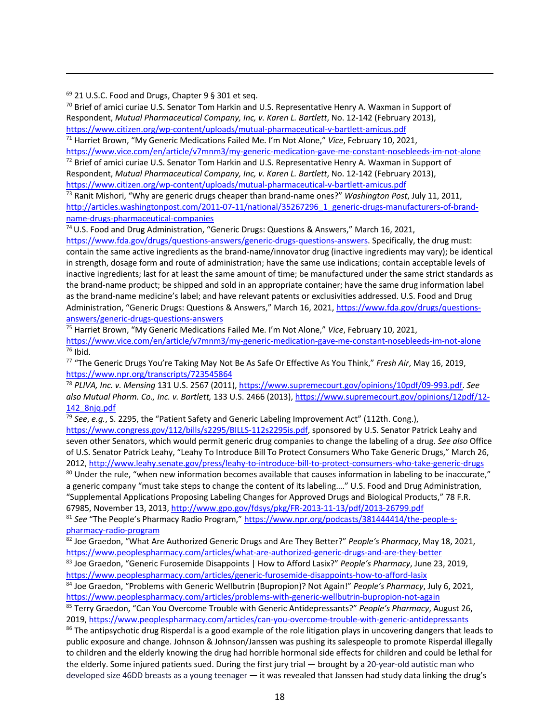<sup>69</sup> 21 U.S.C. Food and Drugs, Chapter 9 § 301 et seq.

 $70$  Brief of amici curiae U.S. Senator Tom Harkin and U.S. Representative Henry A. Waxman in Support of Respondent, *Mutual Pharmaceutical Company, Inc, v. Karen L. Bartlett*, No. 12-142 (February 2013), https://www.citizen.org/wp-content/uploads/mutual-pharmaceutical-v-bartlett-amicus.pdf

<sup>71</sup> Harriet Brown, "My Generic Medications Failed Me. I'm Not Alone," *Vice*, February 10, 2021, https://www.vice.com/en/article/v7mnm3/my-generic-medication-gave-me-constant-nosebleeds-im-not-alone

 $72$  Brief of amici curiae U.S. Senator Tom Harkin and U.S. Representative Henry A. Waxman in Support of Respondent, *Mutual Pharmaceutical Company, Inc, v. Karen L. Bartlett*, No. 12-142 (February 2013), https://www.citizen.org/wp-content/uploads/mutual-pharmaceutical-v-bartlett-amicus.pdf

<sup>73</sup> Ranit Mishori, "Why are generic drugs cheaper than brand-name ones?" *Washington Post*, July 11, 2011, http://articles.washingtonpost.com/2011-07-11/national/35267296\_1\_generic-drugs-manufacturers-of-brandname-drugs-pharmaceutical-companies

<sup>74</sup> U.S. Food and Drug Administration, "Generic Drugs: Questions & Answers," March 16, 2021,

https://www.fda.gov/drugs/questions-answers/generic-drugs-questions-answers. Specifically, the drug must: contain the same active ingredients as the brand-name/innovator drug (inactive ingredients may vary); be identical in strength, dosage form and route of administration; have the same use indications; contain acceptable levels of inactive ingredients; last for at least the same amount of time; be manufactured under the same strict standards as the brand-name product; be shipped and sold in an appropriate container; have the same drug information label as the brand-name medicine's label; and have relevant patents or exclusivities addressed. U.S. Food and Drug Administration, "Generic Drugs: Questions & Answers," March 16, 2021, https://www.fda.gov/drugs/questionsanswers/generic-drugs-questions-answers

<sup>75</sup> Harriet Brown, "My Generic Medications Failed Me. I'm Not Alone," *Vice*, February 10, 2021, https://www.vice.com/en/article/v7mnm3/my-generic-medication-gave-me-constant-nosebleeds-im-not-alone <sup>76</sup> Ibid.

<sup>77</sup> "The Generic Drugs You're Taking May Not Be As Safe Or Effective As You Think," *Fresh Air*, May 16, 2019, https://www.npr.org/transcripts/723545864

<sup>78</sup> *PLIVA, Inc. v. Mensing* 131 U.S. 2567 (2011), https://www.supremecourt.gov/opinions/10pdf/09-993.pdf. *See also Mutual Pharm. Co., Inc. v. Bartlett,* 133 U.S. 2466 (2013), https://www.supremecourt.gov/opinions/12pdf/12- 142\_8njq.pdf

<sup>79</sup> *See*, *e.g.*, S. 2295, the "Patient Safety and Generic Labeling Improvement Act" (112th. Cong.), https://www.congress.gov/112/bills/s2295/BILLS-112s2295is.pdf, sponsored by U.S. Senator Patrick Leahy and seven other Senators, which would permit generic drug companies to change the labeling of a drug. *See also* Office of U.S. Senator Patrick Leahy, "Leahy To Introduce Bill To Protect Consumers Who Take Generic Drugs," March 26, 2012, http://www.leahy.senate.gov/press/leahy-to-introduce-bill-to-protect-consumers-who-take-generic-drugs 80 Under the rule, "when new information becomes available that causes information in labeling to be inaccurate," a generic company "must take steps to change the content of its labeling…." U.S. Food and Drug Administration, "Supplemental Applications Proposing Labeling Changes for Approved Drugs and Biological Products," 78 F.R. 67985, November 13, 2013, http://www.gpo.gov/fdsys/pkg/FR-2013-11-13/pdf/2013-26799.pdf

<sup>81</sup> See "The People's Pharmacy Radio Program," https://www.npr.org/podcasts/381444414/the-people-spharmacy-radio-program

<sup>82</sup> Joe Graedon, "What Are Authorized Generic Drugs and Are They Better?" *People's Pharmacy*, May 18, 2021, https://www.peoplespharmacy.com/articles/what-are-authorized-generic-drugs-and-are-they-better

<sup>83</sup> Joe Graedon, "Generic Furosemide Disappoints | How to Afford Lasix?" *People's Pharmacy*, June 23, 2019, https://www.peoplespharmacy.com/articles/generic-furosemide-disappoints-how-to-afford-lasix

<sup>84</sup> Joe Graedon, "Problems with Generic Wellbutrin (Bupropion)? Not Again!" *People's Pharmacy*, July 6, 2021, https://www.peoplespharmacy.com/articles/problems-with-generic-wellbutrin-bupropion-not-again

<sup>85</sup> Terry Graedon, "Can You Overcome Trouble with Generic Antidepressants?" *People's Pharmacy*, August 26, 2019, https://www.peoplespharmacy.com/articles/can-you-overcome-trouble-with-generic-antidepressants

<sup>86</sup> The antipsychotic drug Risperdal is a good example of the role litigation plays in uncovering dangers that leads to public exposure and change. Johnson & Johnson/Janssen was pushing its salespeople to promote Risperdal illegally to children and the elderly knowing the drug had horrible hormonal side effects for children and could be lethal for the elderly. Some injured patients sued. During the first jury trial — brought by a 20-year-old autistic man who developed size 46DD breasts as a young teenager **—** it was revealed that Janssen had study data linking the drug's